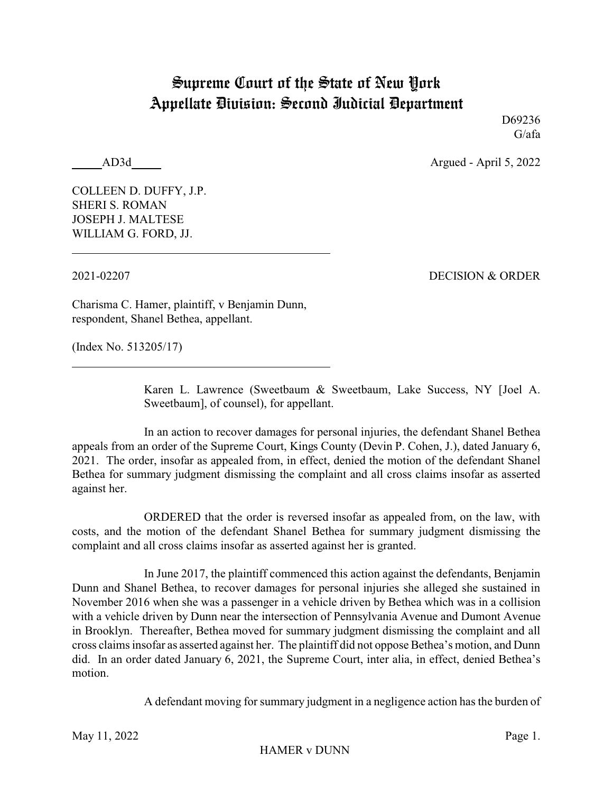## Supreme Court of the State of New York Appellate Division: Second Judicial Department

D69236 G/afa

AD3d Argued - April 5, 2022

COLLEEN D. DUFFY, J.P. SHERI S. ROMAN JOSEPH J. MALTESE WILLIAM G. FORD, JJ.

2021-02207 DECISION & ORDER

Charisma C. Hamer, plaintiff, v Benjamin Dunn, respondent, Shanel Bethea, appellant.

(Index No. 513205/17)

Karen L. Lawrence (Sweetbaum & Sweetbaum, Lake Success, NY [Joel A. Sweetbaum], of counsel), for appellant.

In an action to recover damages for personal injuries, the defendant Shanel Bethea appeals from an order of the Supreme Court, Kings County (Devin P. Cohen, J.), dated January 6, 2021. The order, insofar as appealed from, in effect, denied the motion of the defendant Shanel Bethea for summary judgment dismissing the complaint and all cross claims insofar as asserted against her.

ORDERED that the order is reversed insofar as appealed from, on the law, with costs, and the motion of the defendant Shanel Bethea for summary judgment dismissing the complaint and all cross claims insofar as asserted against her is granted.

In June 2017, the plaintiff commenced this action against the defendants, Benjamin Dunn and Shanel Bethea, to recover damages for personal injuries she alleged she sustained in November 2016 when she was a passenger in a vehicle driven by Bethea which was in a collision with a vehicle driven by Dunn near the intersection of Pennsylvania Avenue and Dumont Avenue in Brooklyn. Thereafter, Bethea moved for summary judgment dismissing the complaint and all cross claims insofar as asserted against her. The plaintiff did not oppose Bethea's motion, and Dunn did. In an order dated January 6, 2021, the Supreme Court, inter alia, in effect, denied Bethea's motion.

A defendant moving for summary judgment in a negligence action has the burden of